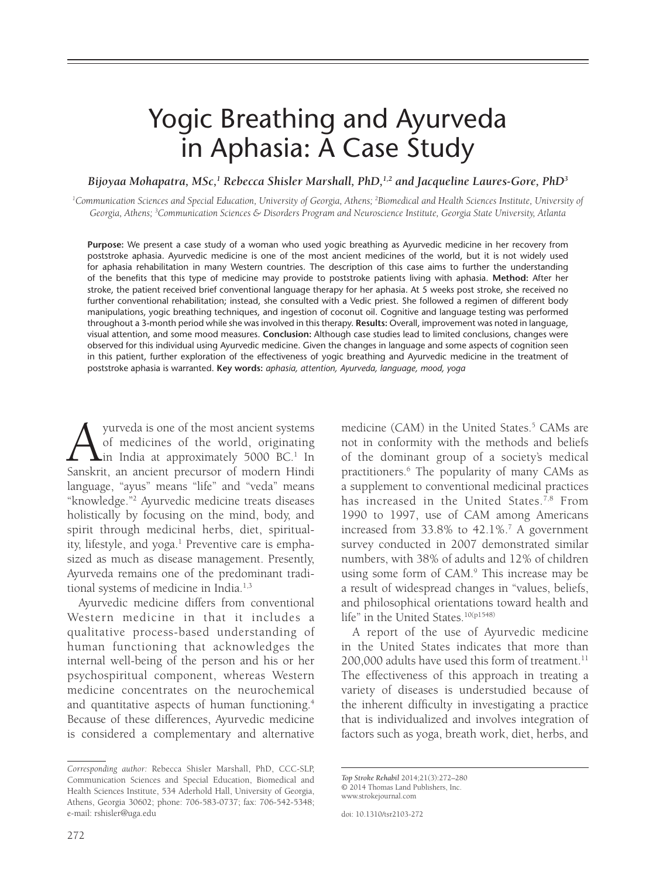# Yogic Breathing and Ayurveda in Aphasia: A Case Study

Bijoyaa Mohapatra, MSc,<sup>1</sup> Rebecca Shisler Marshall, PhD,<sup>1,2</sup> and Jacqueline Laures-Gore, PhD<sup>3</sup>

<sup>1</sup>Communication Sciences and Special Education, University of Georgia, Athens; <sup>2</sup>Biomedical and Health Sciences Institute, University of *Georgia, Athens; 3 Communication Sciences & Disorders Program and Neuroscience Institute, Georgia State University, Atlanta*

**Purpose:** We present a case study of a woman who used yogic breathing as Ayurvedic medicine in her recovery from poststroke aphasia. Ayurvedic medicine is one of the most ancient medicines of the world, but it is not widely used for aphasia rehabilitation in many Western countries. The description of this case aims to further the understanding of the benefits that this type of medicine may provide to poststroke patients living with aphasia. Method: After her stroke, the patient received brief conventional language therapy for her aphasia. At 5 weeks post stroke, she received no further conventional rehabilitation; instead, she consulted with a Vedic priest. She followed a regimen of different body manipulations, yogic breathing techniques, and ingestion of coconut oil. Cognitive and language testing was performed throughout a 3-month period while she was involved in this therapy. **Results:** Overall, improvement was noted in language, visual attention, and some mood measures. **Conclusion:** Although case studies lead to limited conclusions, changes were observed for this individual using Ayurvedic medicine. Given the changes in language and some aspects of cognition seen in this patient, further exploration of the effectiveness of yogic breathing and Ayurvedic medicine in the treatment of poststroke aphasia is warranted. **Key words:** *aphasia, attention, Ayurveda, language, mood, yoga*

A yurveda is one of the most ancient systems<br>of medicines of the world, originating<br>Sanskrit, an ancient precursor of modern Hindi of medicines of the world, originating in India at approximately 5000 BC.<sup>1</sup> In language, "ayus" means "life" and "veda" means "knowledge."2 Ayurvedic medicine treats diseases holistically by focusing on the mind, body, and spirit through medicinal herbs, diet, spirituality, lifestyle, and yoga.<sup>1</sup> Preventive care is emphasized as much as disease management. Presently, Ayurveda remains one of the predominant traditional systems of medicine in India.<sup>1,3</sup>

Ayurvedic medicine differs from conventional Western medicine in that it includes a qualitative process-based understanding of human functioning that acknowledges the internal well-being of the person and his or her psychospiritual component, whereas Western medicine concentrates on the neurochemical and quantitative aspects of human functioning.4 Because of these differences, Ayurvedic medicine is considered a complementary and alternative

*Corresponding author:* Rebecca Shisler Marshall, PhD, CCC-SLP, Communication Sciences and Special Education, Biomedical and Health Sciences Institute, 534 Aderhold Hall, University of Georgia, Athens, Georgia 30602; phone: 706-583-0737; fax: 706-542-5348; e-mail: rshisler@uga.edu

medicine (CAM) in the United States.<sup>5</sup> CAMs are not in conformity with the methods and beliefs of the dominant group of a society's medical practitioners.6 The popularity of many CAMs as a supplement to conventional medicinal practices has increased in the United States.<sup>7,8</sup> From 1990 to 1997, use of CAM among Americans increased from 33.8% to 42.1%.7 A government survey conducted in 2007 demonstrated similar numbers, with 38% of adults and 12% of children using some form of CAM.9 This increase may be a result of widespread changes in "values, beliefs, and philosophical orientations toward health and life" in the United States.<sup>10(p1548)</sup>

A report of the use of Ayurvedic medicine in the United States indicates that more than  $200,000$  adults have used this form of treatment.<sup>11</sup> The effectiveness of this approach in treating a variety of diseases is understudied because of the inherent difficulty in investigating a practice that is individualized and involves integration of factors such as yoga, breath work, diet, herbs, and

Top Stroke Rehabil 2014;21(3):272-280 © 2014 Thomas Land Publishers, Inc. www.strokejournal.com Top Stroke Rehabil 2014;21(3):272–280<br>© 2014 Thomas Land Publishers, Inc.<br>www.strokejournal.com

doi: 10.1310/tsr2103-272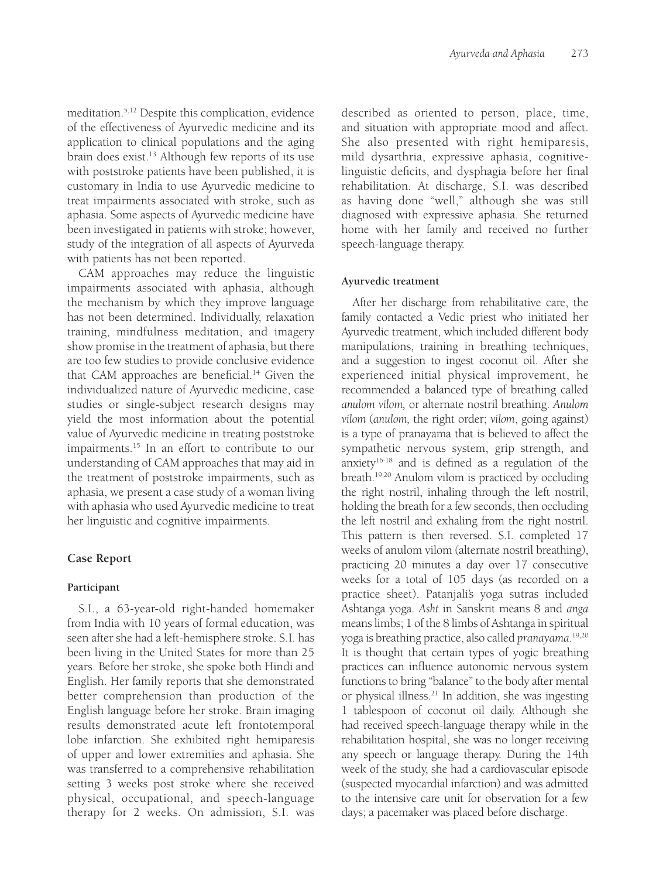meditation.5,12 Despite this complication, evidence of the effectiveness of Ayurvedic medicine and its application to clinical populations and the aging brain does exist.<sup>13</sup> Although few reports of its use with poststroke patients have been published, it is customary in India to use Ayurvedic medicine to treat impairments associated with stroke, such as aphasia. Some aspects of Ayurvedic medicine have been investigated in patients with stroke; however, study of the integration of all aspects of Ayurveda with patients has not been reported.

CAM approaches may reduce the linguistic impairments associated with aphasia, although the mechanism by which they improve language has not been determined. Individually, relaxation training, mindfulness meditation, and imagery show promise in the treatment of aphasia, but there are too few studies to provide conclusive evidence that CAM approaches are beneficial.<sup>14</sup> Given the individualized nature of Ayurvedic medicine, case studies or single-subject research designs may yield the most information about the potential value of Ayurvedic medicine in treating poststroke impairments.<sup>15</sup> In an effort to contribute to our understanding of CAM approaches that may aid in the treatment of poststroke impairments, such as aphasia, we present a case study of a woman living with aphasia who used Ayurvedic medicine to treat her linguistic and cognitive impairments.

## **Case Report**

## **Participant**

S.I., a 63-year-old right-handed homemaker from India with 10 years of formal education, was seen after she had a left-hemisphere stroke. S.I. has been living in the United States for more than 25 years. Before her stroke, she spoke both Hindi and English. Her family reports that she demonstrated better comprehension than production of the English language before her stroke. Brain imaging results demonstrated acute left frontotemporal lobe infarction. She exhibited right hemiparesis of upper and lower extremities and aphasia. She was transferred to a comprehensive rehabilitation setting 3 weeks post stroke where she received physical, occupational, and speech-language therapy for 2 weeks. On admission, S.I. was described as oriented to person, place, time, and situation with appropriate mood and affect. She also presented with right hemiparesis, mild dysarthria, expressive aphasia, cognitivelinguistic deficits, and dysphagia before her final rehabilitation. At discharge, S.I. was described as having done "well," although she was still diagnosed with expressive aphasia. She returned home with her family and received no further speech-language therapy.

### **Ayurvedic treatment**

After her discharge from rehabilitative care, the family contacted a Vedic priest who initiated her Ayurvedic treatment, which included different body manipulations, training in breathing techniques, and a suggestion to ingest coconut oil. After she experienced initial physical improvement, he recommended a balanced type of breathing called *anulom vilom,* or alternate nostril breathing. *Anulom vilom* (*anulom,* the right order; *vilom*, going against) is a type of pranayama that is believed to affect the sympathetic nervous system, grip strength, and anxiety $16-18$  and is defined as a regulation of the breath.19,20 Anulom vilom is practiced by occluding the right nostril, inhaling through the left nostril, holding the breath for a few seconds, then occluding the left nostril and exhaling from the right nostril. This pattern is then reversed. S.I. completed 17 weeks of anulom vilom (alternate nostril breathing), practicing 20 minutes a day over 17 consecutive weeks for a total of 105 days (as recorded on a practice sheet). Patanjali's yoga sutras included Ashtanga yoga. *Asht* in Sanskrit means 8 and *anga* means limbs; 1 of the 8 limbs of Ashtanga in spiritual yoga is breathing practice, also called *pranayama*. 19,20 It is thought that certain types of yogic breathing practices can influence autonomic nervous system functions to bring "balance" to the body after mental or physical illness.21 In addition, she was ingesting 1 tablespoon of coconut oil daily. Although she had received speech-language therapy while in the rehabilitation hospital, she was no longer receiving any speech or language therapy. During the 14th week of the study, she had a cardiovascular episode (suspected myocardial infarction) and was admitted to the intensive care unit for observation for a few days; a pacemaker was placed before discharge.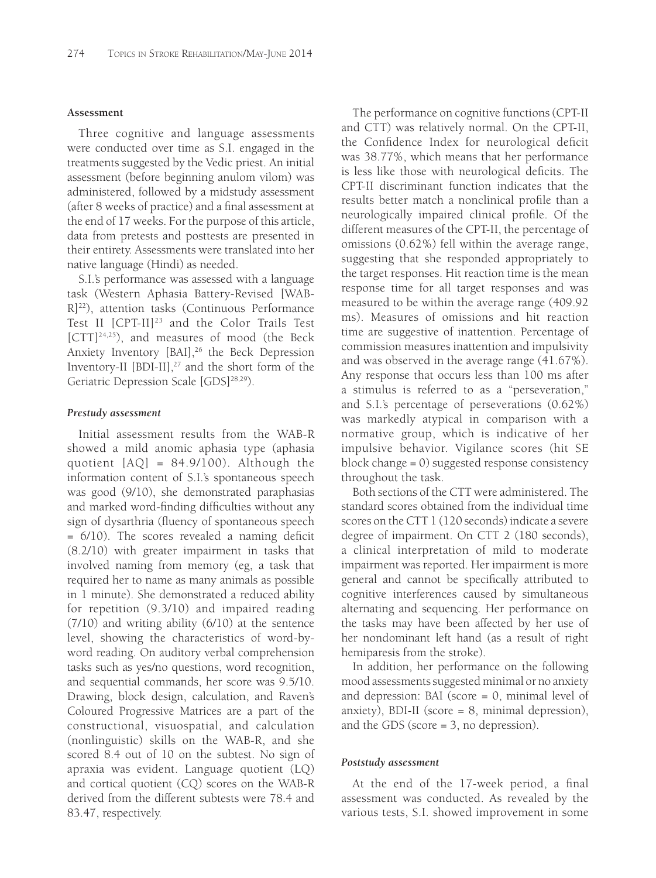#### **Assessment**

Three cognitive and language assessments were conducted over time as S.I. engaged in the treatments suggested by the Vedic priest. An initial assessment (before beginning anulom vilom) was administered, followed by a midstudy assessment (after 8 weeks of practice) and a final assessment at the end of 17 weeks. For the purpose of this article, data from pretests and posttests are presented in their entirety. Assessments were translated into her native language (Hindi) as needed.

S.I.'s performance was assessed with a language task (Western Aphasia Battery-Revised [WAB-R]22), attention tasks (Continuous Performance Test II [CPT-II]<sup>23</sup> and the Color Trails Test  $[CTT]^{24,25}$ ), and measures of mood (the Beck Anxiety Inventory [BAI],<sup>26</sup> the Beck Depression Inventory-II  $[BDI-II]$ ,<sup>27</sup> and the short form of the Geriatric Depression Scale [GDS]<sup>28,29</sup>).

#### *Prestudy assessment*

Initial assessment results from the WAB-R showed a mild anomic aphasia type (aphasia quotient [AQ] = 84.9/100). Although the information content of S.I.'s spontaneous speech was good (9/10), she demonstrated paraphasias and marked word-finding difficulties without any sign of dysarthria (fluency of spontaneous speech  $= 6/10$ ). The scores revealed a naming deficit (8.2/10) with greater impairment in tasks that involved naming from memory (eg, a task that required her to name as many animals as possible in 1 minute). She demonstrated a reduced ability for repetition (9.3/10) and impaired reading (7/10) and writing ability (6/10) at the sentence level, showing the characteristics of word-byword reading. On auditory verbal comprehension tasks such as yes/no questions, word recognition, and sequential commands, her score was 9.5/10. Drawing, block design, calculation, and Raven's Coloured Progressive Matrices are a part of the constructional, visuospatial, and calculation (nonlinguistic) skills on the WAB-R, and she scored 8.4 out of 10 on the subtest. No sign of apraxia was evident. Language quotient (LQ) and cortical quotient (CQ) scores on the WAB-R derived from the different subtests were 78.4 and 83.47, respectively.

The performance on cognitive functions (CPT-II and CTT) was relatively normal. On the CPT-II, the Confidence Index for neurological deficit was 38.77%, which means that her performance is less like those with neurological deficits. The CPT-II discriminant function indicates that the results better match a nonclinical profile than a neurologically impaired clinical profile. Of the different measures of the CPT-II, the percentage of omissions (0.62%) fell within the average range, suggesting that she responded appropriately to the target responses. Hit reaction time is the mean response time for all target responses and was measured to be within the average range (409.92 ms). Measures of omissions and hit reaction time are suggestive of inattention. Percentage of commission measures inattention and impulsivity and was observed in the average range (41.67%). Any response that occurs less than 100 ms after a stimulus is referred to as a "perseveration," and S.I.'s percentage of perseverations (0.62%) was markedly atypical in comparison with a normative group, which is indicative of her impulsive behavior. Vigilance scores (hit SE block change = 0) suggested response consistency throughout the task.

Both sections of the CTT were administered. The standard scores obtained from the individual time scores on the CTT 1 (120 seconds) indicate a severe degree of impairment. On CTT 2 (180 seconds), a clinical interpretation of mild to moderate impairment was reported. Her impairment is more general and cannot be specifically attributed to cognitive interferences caused by simultaneous alternating and sequencing. Her performance on the tasks may have been affected by her use of her nondominant left hand (as a result of right hemiparesis from the stroke).

In addition, her performance on the following mood assessments suggested minimal or no anxiety and depression: BAI (score = 0, minimal level of anxiety), BDI-II (score = 8, minimal depression), and the GDS (score = 3, no depression).

#### *Poststudy assessment*

At the end of the 17-week period, a final assessment was conducted. As revealed by the various tests, S.I. showed improvement in some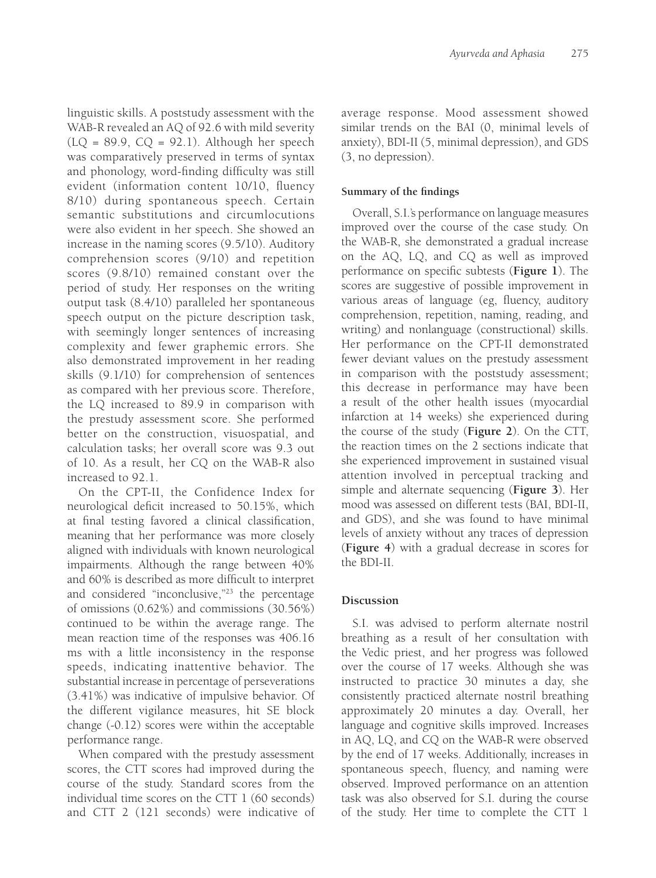linguistic skills. A poststudy assessment with the WAB-R revealed an AQ of 92.6 with mild severity  $(LQ = 89.9, CQ = 92.1)$ . Although her speech was comparatively preserved in terms of syntax and phonology, word-finding difficulty was still evident (information content 10/10, fluency 8/10) during spontaneous speech. Certain semantic substitutions and circumlocutions were also evident in her speech. She showed an increase in the naming scores (9.5/10). Auditory comprehension scores (9/10) and repetition scores (9.8/10) remained constant over the period of study. Her responses on the writing output task (8.4/10) paralleled her spontaneous speech output on the picture description task, with seemingly longer sentences of increasing complexity and fewer graphemic errors. She also demonstrated improvement in her reading skills (9.1/10) for comprehension of sentences as compared with her previous score. Therefore, the LQ increased to 89.9 in comparison with the prestudy assessment score. She performed better on the construction, visuospatial, and calculation tasks; her overall score was 9.3 out of 10. As a result, her CQ on the WAB-R also increased to 92.1.

On the CPT-II, the Confidence Index for neurological deficit increased to 50.15%, which at final testing favored a clinical classification, meaning that her performance was more closely aligned with individuals with known neurological impairments. Although the range between 40% and 60% is described as more difficult to interpret and considered "inconclusive,"23 the percentage of omissions (0.62%) and commissions (30.56%) continued to be within the average range. The mean reaction time of the responses was 406.16 ms with a little inconsistency in the response speeds, indicating inattentive behavior. The substantial increase in percentage of perseverations (3.41%) was indicative of impulsive behavior. Of the different vigilance measures, hit SE block change (-0.12) scores were within the acceptable performance range.

When compared with the prestudy assessment scores, the CTT scores had improved during the course of the study. Standard scores from the individual time scores on the CTT 1 (60 seconds) and CTT 2 (121 seconds) were indicative of average response. Mood assessment showed similar trends on the BAI (0, minimal levels of anxiety), BDI-II (5, minimal depression), and GDS (3, no depression).

## **Summary of the findings**

Overall, S.I.'s performance on language measures improved over the course of the case study. On the WAB-R, she demonstrated a gradual increase on the AQ, LQ, and CQ as well as improved performance on specific subtests (Figure 1). The scores are suggestive of possible improvement in various areas of language (eg, fluency, auditory comprehension, repetition, naming, reading, and writing) and nonlanguage (constructional) skills. Her performance on the CPT-II demonstrated fewer deviant values on the prestudy assessment in comparison with the poststudy assessment; this decrease in performance may have been a result of the other health issues (myocardial infarction at 14 weeks) she experienced during the course of the study (**Figure 2**). On the CTT, the reaction times on the 2 sections indicate that she experienced improvement in sustained visual attention involved in perceptual tracking and simple and alternate sequencing (**Figure 3**). Her mood was assessed on different tests (BAI, BDI-II, and GDS), and she was found to have minimal levels of anxiety without any traces of depression (**Figure 4**) with a gradual decrease in scores for the BDI-II.

## **Discussion**

S.I. was advised to perform alternate nostril breathing as a result of her consultation with the Vedic priest, and her progress was followed over the course of 17 weeks. Although she was instructed to practice 30 minutes a day, she consistently practiced alternate nostril breathing approximately 20 minutes a day. Overall, her language and cognitive skills improved. Increases in AQ, LQ, and CQ on the WAB-R were observed by the end of 17 weeks. Additionally, increases in spontaneous speech, fluency, and naming were observed. Improved performance on an attention task was also observed for S.I. during the course of the study. Her time to complete the CTT 1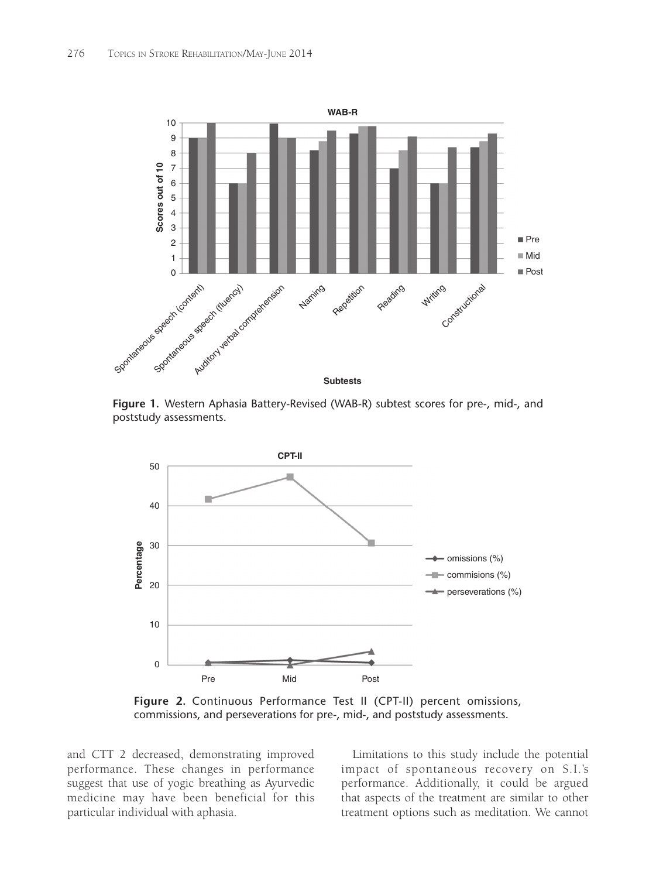

**Figure 1.** Western Aphasia Battery-Revised (WAB-R) subtest scores for pre-, mid-, and poststudy assessments.



**Figure 2.** Continuous Performance Test II (CPT-II) percent omissions, commissions, and perseverations for pre-, mid-, and poststudy assessments.

and CTT 2 decreased, demonstrating improved performance. These changes in performance suggest that use of yogic breathing as Ayurvedic medicine may have been beneficial for this particular individual with aphasia.

Limitations to this study include the potential impact of spontaneous recovery on S.I.'s performance. Additionally, it could be argued that aspects of the treatment are similar to other treatment options such as meditation. We cannot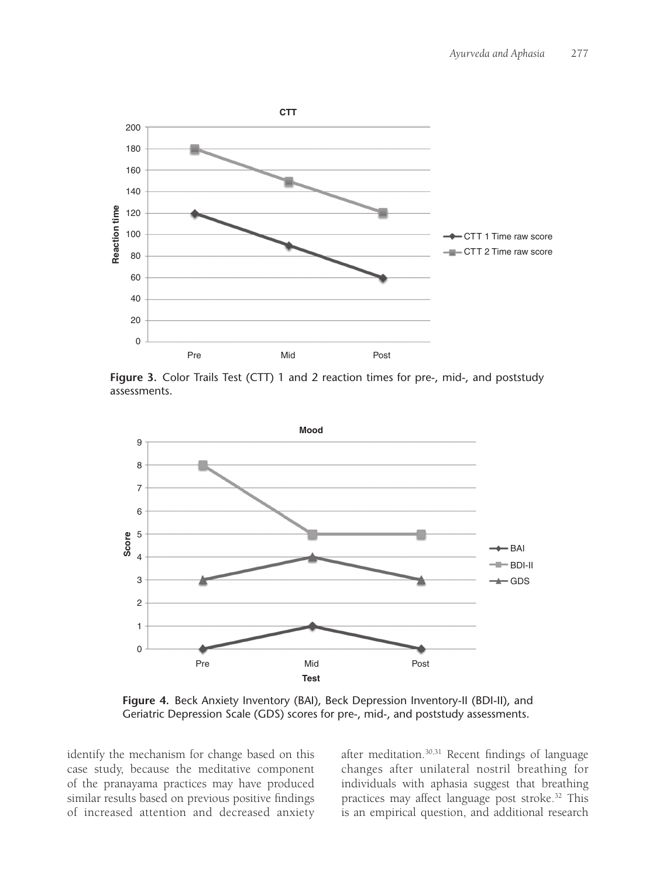

**Figure 3.** Color Trails Test (CTT) 1 and 2 reaction times for pre-, mid-, and poststudy assessments.



**Figure 4.** Beck Anxiety Inventory (BAI), Beck Depression Inventory-II (BDI-II), and Geriatric Depression Scale (GDS) scores for pre-, mid-, and poststudy assessments.

identify the mechanism for change based on this case study, because the meditative component of the pranayama practices may have produced similar results based on previous positive findings of increased attention and decreased anxiety after meditation.<sup>30,31</sup> Recent findings of language changes after unilateral nostril breathing for individuals with aphasia suggest that breathing practices may affect language post stroke.32 This is an empirical question, and additional research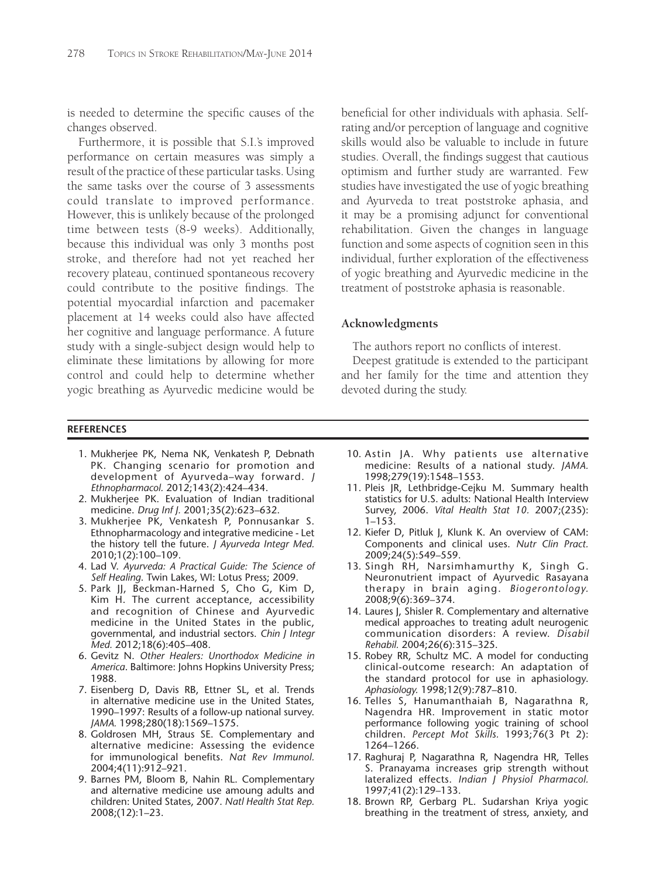is needed to determine the specific causes of the changes observed.

Furthermore, it is possible that S.I.'s improved performance on certain measures was simply a result of the practice of these particular tasks. Using the same tasks over the course of 3 assessments could translate to improved performance. However, this is unlikely because of the prolonged time between tests (8-9 weeks). Additionally, because this individual was only 3 months post stroke, and therefore had not yet reached her recovery plateau, continued spontaneous recovery could contribute to the positive findings. The potential myocardial infarction and pacemaker placement at 14 weeks could also have affected her cognitive and language performance. A future study with a single-subject design would help to eliminate these limitations by allowing for more control and could help to determine whether yogic breathing as Ayurvedic medicine would be

**REFERENCES**

- 1. Mukherjee PK, Nema NK, Venkatesh P, Debnath PK. Changing scenario for promotion and development of Ayurveda–way forward. *J Ethnopharmacol.* 2012;143(2):424–434.
- 2. Mukherjee PK. Evaluation of Indian traditional medicine. *Drug Inf J.* 2001;35(2):623–632.
- 3. Mukherjee PK, Venkatesh P, Ponnusankar S. Ethnopharmacology and integrative medicine - Let the history tell the future. *J Ayurveda Integr Med.* 2010;1(2):100–109.
- 4. Lad V. *Ayurveda: A Practical Guide: The Science of Self Healing*. Twin Lakes, WI: Lotus Press; 2009.
- 5. Park JJ, Beckman-Harned S, Cho G, Kim D, Kim H. The current acceptance, accessibility and recognition of Chinese and Ayurvedic medicine in the United States in the public, governmental, and industrial sectors. *Chin J Integr Med.* 2012;18(6):405–408.
- 6. Gevitz N. *Other Healers: Unorthodox Medicine in America*. Baltimore: Johns Hopkins University Press; 1988.
- 7. Eisenberg D, Davis RB, Ettner SL, et al. Trends in alternative medicine use in the United States, 1990–1997: Results of a follow-up national survey. *JAMA.* 1998;280(18):1569–1575.
- 8. Goldrosen MH, Straus SE. Complementary and alternative medicine: Assessing the evidence for immunological benefits. *Nat Rev Immunol.* 2004;4(11):912–921.
- 9. Barnes PM, Bloom B, Nahin RL. Complementary and alternative medicine use amoung adults and children: United States, 2007. *Natl Health Stat Rep.* 2008;(12):1–23.

beneficial for other individuals with aphasia. Selfrating and/or perception of language and cognitive skills would also be valuable to include in future studies. Overall, the findings suggest that cautious optimism and further study are warranted. Few studies have investigated the use of yogic breathing and Ayurveda to treat poststroke aphasia, and it may be a promising adjunct for conventional rehabilitation. Given the changes in language function and some aspects of cognition seen in this individual, further exploration of the effectiveness of yogic breathing and Ayurvedic medicine in the treatment of poststroke aphasia is reasonable.

#### **Acknowledgments**

The authors report no conflicts of interest.

Deepest gratitude is extended to the participant and her family for the time and attention they devoted during the study.

- 10. Astin JA. Why patients use alternative medicine: Results of a national study. *JAMA.* 1998;279(19):1548–1553.
- 11. Pleis JR, Lethbridge-Cejku M. Summary health statistics for U.S. adults: National Health Interview Survey, 2006. *Vital Health Stat 10.* 2007;(235): 1–153.
- 12. Kiefer D, Pitluk J, Klunk K. An overview of CAM: Components and clinical uses. *Nutr Clin Pract.* 2009;24(5):549–559.
- 13. Singh RH, Narsimhamurthy K, Singh G. Neuronutrient impact of Ayurvedic Rasayana therapy in brain aging. *Biogerontology.* 2008;9(6):369–374.
- 14. Laures J, Shisler R. Complementary and alternative medical approaches to treating adult neurogenic communication disorders: A review. *Disabil Rehabil.* 2004;26(6):315–325.
- 15. Robey RR, Schultz MC. A model for conducting clinical-outcome research: An adaptation of the standard protocol for use in aphasiology. *Aphasiology.* 1998;12(9):787–810.
- 16. Telles S, Hanumanthaiah B, Nagarathna R, Nagendra HR. Improvement in static motor performance following yogic training of school children. *Percept Mot Skills.* 1993;76(3 Pt 2): 1264–1266.
- 17. Raghuraj P, Nagarathna R, Nagendra HR, Telles S. Pranayama increases grip strength without lateralized effects. *Indian J Physiol Pharmacol.* 1997;41(2):129–133.
- 18. Brown RP, Gerbarg PL. Sudarshan Kriya yogic breathing in the treatment of stress, anxiety, and